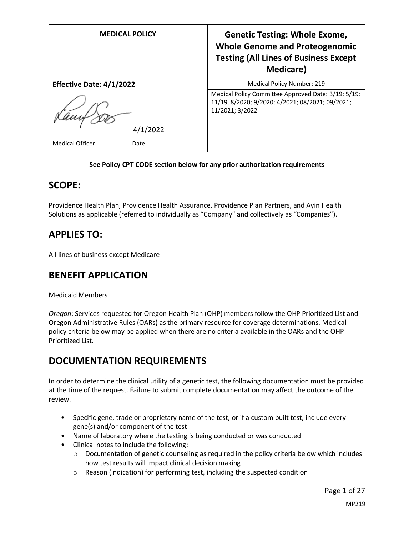| <b>MEDICAL POLICY</b>           | <b>Genetic Testing: Whole Exome,</b><br><b>Whole Genome and Proteogenomic</b><br><b>Testing (All Lines of Business Except</b><br><b>Medicare</b> ) |
|---------------------------------|----------------------------------------------------------------------------------------------------------------------------------------------------|
| <b>Effective Date: 4/1/2022</b> | <b>Medical Policy Number: 219</b>                                                                                                                  |
|                                 | Medical Policy Committee Approved Date: 3/19; 5/19;<br>11/19, 8/2020; 9/2020; 4/2021; 08/2021; 09/2021;<br>11/2021; 3/2022                         |
| /2022                           |                                                                                                                                                    |
| <b>Medical Officer</b><br>Date  |                                                                                                                                                    |

#### **See Policy CPT CODE section below for any prior authorization requirements**

## **SCOPE:**

Providence Health Plan, Providence Health Assurance, Providence Plan Partners, and Ayin Health Solutions as applicable (referred to individually as "Company" and collectively as "Companies").

## **APPLIES TO:**

All lines of business except Medicare

## **BENEFIT APPLICATION**

#### Medicaid Members

*Oregon*: Services requested for Oregon Health Plan (OHP) members follow the OHP Prioritized List and Oregon Administrative Rules (OARs) as the primary resource for coverage determinations. Medical policy criteria below may be applied when there are no criteria available in the OARs and the OHP Prioritized List.

## **DOCUMENTATION REQUIREMENTS**

In order to determine the clinical utility of a genetic test, the following documentation must be provided at the time of the request. Failure to submit complete documentation may affect the outcome of the review.

- Specific gene, trade or proprietary name of the test, or if a custom built test, include every gene(s) and/or component of the test
- Name of laboratory where the testing is being conducted or was conducted
- Clinical notes to include the following:
	- o Documentation of genetic counseling as required in the policy criteria below which includes how test results will impact clinical decision making
	- o Reason (indication) for performing test, including the suspected condition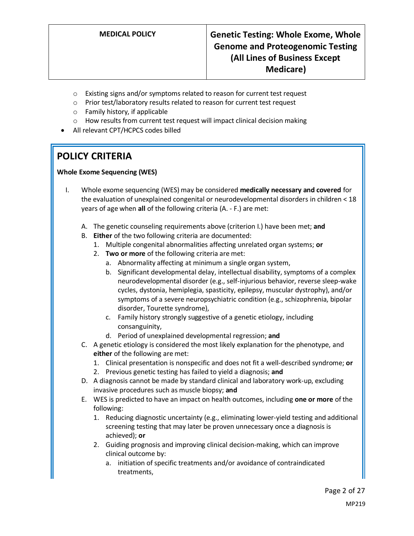- o Existing signs and/or symptoms related to reason for current test request
- o Prior test/laboratory results related to reason for current test request
- o Family history, if applicable
- o How results from current test request will impact clinical decision making
- All relevant CPT/HCPCS codes billed

# **POLICY CRITERIA**

### **Whole Exome Sequencing (WES)**

- I. Whole exome sequencing (WES) may be considered **medically necessary and covered** for the evaluation of unexplained congenital or neurodevelopmental disorders in children < 18 years of age when **all** of the following criteria (A. - F.) are met:
	- A. The genetic counseling requirements above (criterion I.) have been met; **and**
	- B. **Either** of the two following criteria are documented:
		- 1. Multiple congenital abnormalities affecting unrelated organ systems; **or**
		- 2. **Two or more** of the following criteria are met:
			- a. Abnormality affecting at minimum a single organ system,
			- b. Significant developmental delay, intellectual disability, symptoms of a complex neurodevelopmental disorder (e.g., self-injurious behavior, reverse sleep-wake cycles, dystonia, hemiplegia, spasticity, epilepsy, muscular dystrophy), and/or symptoms of a severe neuropsychiatric condition (e.g., schizophrenia, bipolar disorder, Tourette syndrome),
			- c. Family history strongly suggestive of a genetic etiology, including consanguinity,
			- d. Period of unexplained developmental regression; **and**
	- C. A genetic etiology is considered the most likely explanation for the phenotype, and **either** of the following are met:
		- 1. Clinical presentation is nonspecific and does not fit a well-described syndrome; **or**
		- 2. Previous genetic testing has failed to yield a diagnosis; **and**
	- D. A diagnosis cannot be made by standard clinical and laboratory work-up, excluding invasive procedures such as muscle biopsy; **and**
	- E. WES is predicted to have an impact on health outcomes, including **one or more** of the following:
		- 1. Reducing diagnostic uncertainty (e.g., eliminating lower-yield testing and additional screening testing that may later be proven unnecessary once a diagnosis is achieved); **or**
		- 2. Guiding prognosis and improving clinical decision-making, which can improve clinical outcome by:
			- a. initiation of specific treatments and/or avoidance of contraindicated treatments,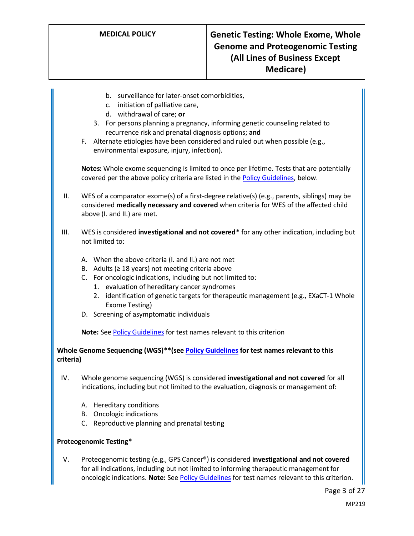- b. surveillance for later-onset comorbidities,
- c. initiation of palliative care,
- d. withdrawal of care; **or**
- 3. For persons planning a pregnancy, informing genetic counseling related to recurrence risk and prenatal diagnosis options; **and**
- F. Alternate etiologies have been considered and ruled out when possible (e.g., environmental exposure, injury, infection).

**Notes:** Whole exome sequencing is limited to once per lifetime. Tests that are potentially covered per the above policy criteria are listed in th[e Policy Guidelines,](#page-3-0) below.

- II. WES of a comparator exome(s) of a first-degree relative(s) (e.g., parents, siblings) may be considered **medically necessary and covered** when criteria for WES of the affected child above (I. and II.) are met.
- III. WES is considered **investigational and not covered\*** for any other indication, including but not limited to:
	- A. When the above criteria (I. and II.) are not met
	- B. Adults ( $\geq$  18 years) not meeting criteria above
	- C. For oncologic indications, including but not limited to:
		- 1. evaluation of hereditary cancer syndromes
		- 2. identification of genetic targets for therapeutic management (e.g., EXaCT-1 Whole Exome Testing)
	- D. Screening of asymptomatic individuals

**Note:** Se[e Policy Guidelines](#page-3-0) for test names relevant to this criterion

#### **Whole Genome Sequencing (WGS)\*\*(se[e Policy Guidelines](#page-3-0) for test names relevant to this criteria)**

- IV. Whole genome sequencing (WGS) is considered **investigational and not covered** for all indications, including but not limited to the evaluation, diagnosis or management of:
	- A. Hereditary conditions
	- B. Oncologic indications
	- C. Reproductive planning and prenatal testing

#### **Proteogenomic Testing\***

V. Proteogenomic testing (e.g., GPS Cancer®) is considered **investigational and not covered** for all indications, including but not limited to informing therapeutic management for oncologic indications. **Note:** See [Policy Guidelines](#page-3-0) for test names relevant to this criterion.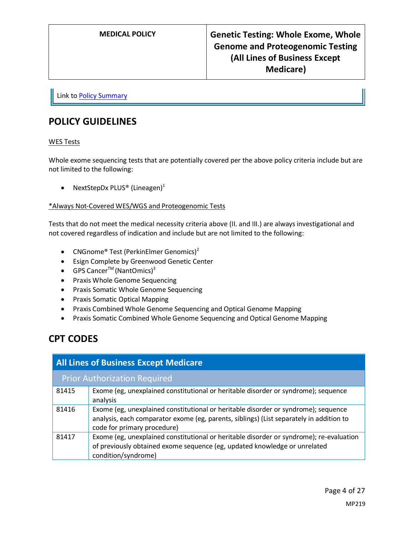Link t[o Policy Summary](#page-19-0)

## <span id="page-3-0"></span>**POLICY GUIDELINES**

#### WES Tests

Whole exome sequencing tests that are potentially covered per the above policy criteria include but are not limited to the following:

• NextStepDx PLUS<sup>®</sup> (Lineagen)<sup>1</sup>

#### \*Always Not-Covered WES/WGS and Proteogenomic Tests

Tests that do not meet the medical necessity criteria above (II. and III.) are always investigational and not covered regardless of indication and include but are not limited to the following:

- CNGnome® Test (PerkinElmer Genomics)<sup>2</sup>
- Esign Complete by Greenwood Genetic Center
- GPS Cancer<sup>TM</sup> (NantOmics)<sup>3</sup>
- Praxis Whole Genome Sequencing
- Praxis Somatic Whole Genome Sequencing
- Praxis Somatic Optical Mapping
- Praxis Combined Whole Genome Sequencing and Optical Genome Mapping
- Praxis Somatic Combined Whole Genome Sequencing and Optical Genome Mapping

# **CPT CODES**

| <b>All Lines of Business Except Medicare</b> |                                                                                                                                                                                                              |
|----------------------------------------------|--------------------------------------------------------------------------------------------------------------------------------------------------------------------------------------------------------------|
| <b>Prior Authorization Required</b>          |                                                                                                                                                                                                              |
| 81415                                        | Exome (eg, unexplained constitutional or heritable disorder or syndrome); sequence<br>analysis                                                                                                               |
| 81416                                        | Exome (eg, unexplained constitutional or heritable disorder or syndrome); sequence<br>analysis, each comparator exome (eg, parents, siblings) (List separately in addition to<br>code for primary procedure) |
| 81417                                        | Exome (eg, unexplained constitutional or heritable disorder or syndrome); re-evaluation<br>of previously obtained exome sequence (eg, updated knowledge or unrelated<br>condition/syndrome)                  |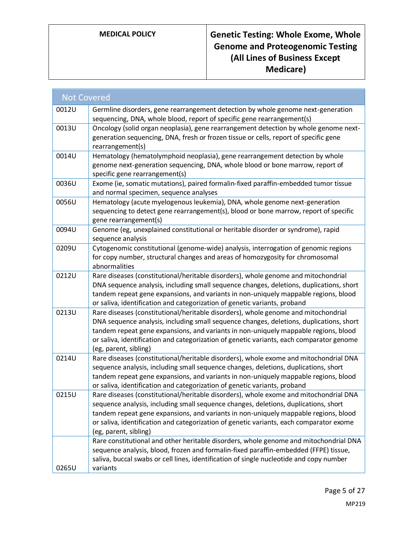| <b>Not Covered</b> |                                                                                                                                                                                                                                                                                                                                                                                           |
|--------------------|-------------------------------------------------------------------------------------------------------------------------------------------------------------------------------------------------------------------------------------------------------------------------------------------------------------------------------------------------------------------------------------------|
| 0012U              | Germline disorders, gene rearrangement detection by whole genome next-generation<br>sequencing, DNA, whole blood, report of specific gene rearrangement(s)                                                                                                                                                                                                                                |
| 0013U              | Oncology (solid organ neoplasia), gene rearrangement detection by whole genome next-<br>generation sequencing, DNA, fresh or frozen tissue or cells, report of specific gene<br>rearrangement(s)                                                                                                                                                                                          |
| 0014U              | Hematology (hematolymphoid neoplasia), gene rearrangement detection by whole<br>genome next-generation sequencing, DNA, whole blood or bone marrow, report of<br>specific gene rearrangement(s)                                                                                                                                                                                           |
| 0036U              | Exome (ie, somatic mutations), paired formalin-fixed paraffin-embedded tumor tissue<br>and normal specimen, sequence analyses                                                                                                                                                                                                                                                             |
| 0056U              | Hematology (acute myelogenous leukemia), DNA, whole genome next-generation<br>sequencing to detect gene rearrangement(s), blood or bone marrow, report of specific<br>gene rearrangement(s)                                                                                                                                                                                               |
| 0094U              | Genome (eg, unexplained constitutional or heritable disorder or syndrome), rapid<br>sequence analysis                                                                                                                                                                                                                                                                                     |
| 0209U              | Cytogenomic constitutional (genome-wide) analysis, interrogation of genomic regions<br>for copy number, structural changes and areas of homozygosity for chromosomal<br>abnormalities                                                                                                                                                                                                     |
| 0212U              | Rare diseases (constitutional/heritable disorders), whole genome and mitochondrial<br>DNA sequence analysis, including small sequence changes, deletions, duplications, short<br>tandem repeat gene expansions, and variants in non-uniquely mappable regions, blood<br>or saliva, identification and categorization of genetic variants, proband                                         |
| 0213U              | Rare diseases (constitutional/heritable disorders), whole genome and mitochondrial<br>DNA sequence analysis, including small sequence changes, deletions, duplications, short<br>tandem repeat gene expansions, and variants in non-uniquely mappable regions, blood<br>or saliva, identification and categorization of genetic variants, each comparator genome<br>(eg, parent, sibling) |
| 0214U              | Rare diseases (constitutional/heritable disorders), whole exome and mitochondrial DNA<br>sequence analysis, including small sequence changes, deletions, duplications, short<br>tandem repeat gene expansions, and variants in non-uniquely mappable regions, blood<br>or saliva, identification and categorization of genetic variants, proband                                          |
| 0215U              | Rare diseases (constitutional/heritable disorders), whole exome and mitochondrial DNA<br>sequence analysis, including small sequence changes, deletions, duplications, short<br>tandem repeat gene expansions, and variants in non-uniquely mappable regions, blood<br>or saliva, identification and categorization of genetic variants, each comparator exome<br>(eg, parent, sibling)   |
| 0265U              | Rare constitutional and other heritable disorders, whole genome and mitochondrial DNA<br>sequence analysis, blood, frozen and formalin-fixed paraffin-embedded (FFPE) tissue,<br>saliva, buccal swabs or cell lines, identification of single nucleotide and copy number<br>variants                                                                                                      |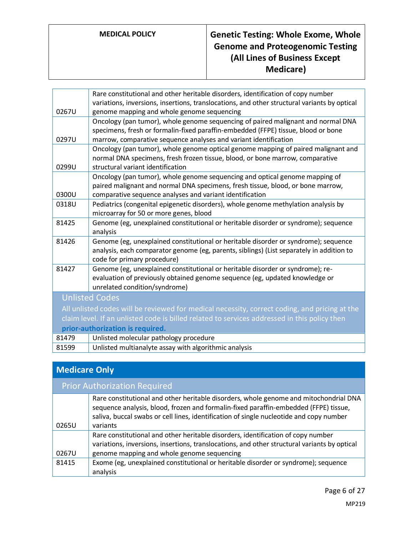|                                                                                              | Rare constitutional and other heritable disorders, identification of copy number<br>variations, inversions, insertions, translocations, and other structural variants by optical                                                          |
|----------------------------------------------------------------------------------------------|-------------------------------------------------------------------------------------------------------------------------------------------------------------------------------------------------------------------------------------------|
| 0267U                                                                                        | genome mapping and whole genome sequencing                                                                                                                                                                                                |
| 0297U                                                                                        | Oncology (pan tumor), whole genome sequencing of paired malignant and normal DNA<br>specimens, fresh or formalin-fixed paraffin-embedded (FFPE) tissue, blood or bone<br>marrow, comparative sequence analyses and variant identification |
|                                                                                              | Oncology (pan tumor), whole genome optical genome mapping of paired malignant and                                                                                                                                                         |
| 0299U                                                                                        | normal DNA specimens, fresh frozen tissue, blood, or bone marrow, comparative<br>structural variant identification                                                                                                                        |
| 0300U                                                                                        | Oncology (pan tumor), whole genome sequencing and optical genome mapping of<br>paired malignant and normal DNA specimens, fresh tissue, blood, or bone marrow,<br>comparative sequence analyses and variant identification                |
| 0318U                                                                                        | Pediatrics (congenital epigenetic disorders), whole genome methylation analysis by                                                                                                                                                        |
|                                                                                              | microarray for 50 or more genes, blood                                                                                                                                                                                                    |
| 81425                                                                                        | Genome (eg, unexplained constitutional or heritable disorder or syndrome); sequence<br>analysis                                                                                                                                           |
| 81426                                                                                        | Genome (eg, unexplained constitutional or heritable disorder or syndrome); sequence                                                                                                                                                       |
|                                                                                              | analysis, each comparator genome (eg, parents, siblings) (List separately in addition to<br>code for primary procedure)                                                                                                                   |
| 81427                                                                                        | Genome (eg, unexplained constitutional or heritable disorder or syndrome); re-                                                                                                                                                            |
|                                                                                              | evaluation of previously obtained genome sequence (eg, updated knowledge or<br>unrelated condition/syndrome)                                                                                                                              |
| <b>Unlisted Codes</b>                                                                        |                                                                                                                                                                                                                                           |
|                                                                                              | All unlisted codes will be reviewed for medical necessity, correct coding, and pricing at the                                                                                                                                             |
| claim level. If an unlisted code is billed related to services addressed in this policy then |                                                                                                                                                                                                                                           |
| prior-authorization is required.                                                             |                                                                                                                                                                                                                                           |
| 81479                                                                                        | Unlisted molecular pathology procedure                                                                                                                                                                                                    |
| 81599                                                                                        | Unlisted multianalyte assay with algorithmic analysis                                                                                                                                                                                     |
|                                                                                              |                                                                                                                                                                                                                                           |

# **Medicare Only**

| <b>Prior Authorization Required</b> |                                                                                                                                                                                                                                                                                      |
|-------------------------------------|--------------------------------------------------------------------------------------------------------------------------------------------------------------------------------------------------------------------------------------------------------------------------------------|
| 0265U                               | Rare constitutional and other heritable disorders, whole genome and mitochondrial DNA<br>sequence analysis, blood, frozen and formalin-fixed paraffin-embedded (FFPE) tissue,<br>saliva, buccal swabs or cell lines, identification of single nucleotide and copy number<br>variants |
| 0267U                               | Rare constitutional and other heritable disorders, identification of copy number<br>variations, inversions, insertions, translocations, and other structural variants by optical<br>genome mapping and whole genome sequencing                                                       |
| 81415                               | Exome (eg, unexplained constitutional or heritable disorder or syndrome); sequence<br>analysis                                                                                                                                                                                       |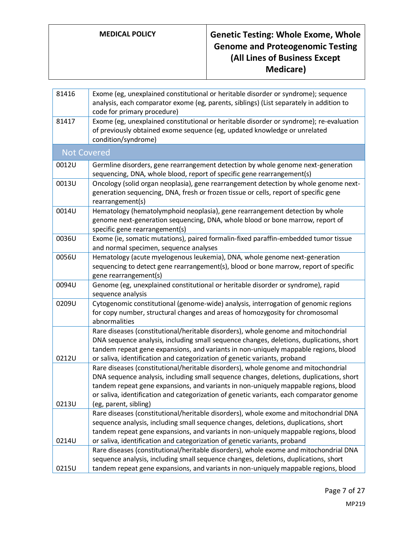| 81416              | Exome (eg, unexplained constitutional or heritable disorder or syndrome); sequence<br>analysis, each comparator exome (eg, parents, siblings) (List separately in addition to<br>code for primary procedure)                                                                                                                                                                              |
|--------------------|-------------------------------------------------------------------------------------------------------------------------------------------------------------------------------------------------------------------------------------------------------------------------------------------------------------------------------------------------------------------------------------------|
| 81417              | Exome (eg, unexplained constitutional or heritable disorder or syndrome); re-evaluation<br>of previously obtained exome sequence (eg, updated knowledge or unrelated<br>condition/syndrome)                                                                                                                                                                                               |
| <b>Not Covered</b> |                                                                                                                                                                                                                                                                                                                                                                                           |
| 0012U              | Germline disorders, gene rearrangement detection by whole genome next-generation<br>sequencing, DNA, whole blood, report of specific gene rearrangement(s)                                                                                                                                                                                                                                |
| 0013U              | Oncology (solid organ neoplasia), gene rearrangement detection by whole genome next-<br>generation sequencing, DNA, fresh or frozen tissue or cells, report of specific gene<br>rearrangement(s)                                                                                                                                                                                          |
| 0014U              | Hematology (hematolymphoid neoplasia), gene rearrangement detection by whole<br>genome next-generation sequencing, DNA, whole blood or bone marrow, report of<br>specific gene rearrangement(s)                                                                                                                                                                                           |
| 0036U              | Exome (ie, somatic mutations), paired formalin-fixed paraffin-embedded tumor tissue<br>and normal specimen, sequence analyses                                                                                                                                                                                                                                                             |
| 0056U              | Hematology (acute myelogenous leukemia), DNA, whole genome next-generation<br>sequencing to detect gene rearrangement(s), blood or bone marrow, report of specific<br>gene rearrangement(s)                                                                                                                                                                                               |
| 0094U              | Genome (eg, unexplained constitutional or heritable disorder or syndrome), rapid<br>sequence analysis                                                                                                                                                                                                                                                                                     |
| 0209U              | Cytogenomic constitutional (genome-wide) analysis, interrogation of genomic regions<br>for copy number, structural changes and areas of homozygosity for chromosomal<br>abnormalities                                                                                                                                                                                                     |
| 0212U              | Rare diseases (constitutional/heritable disorders), whole genome and mitochondrial<br>DNA sequence analysis, including small sequence changes, deletions, duplications, short<br>tandem repeat gene expansions, and variants in non-uniquely mappable regions, blood<br>or saliva, identification and categorization of genetic variants, proband                                         |
| 0213U              | Rare diseases (constitutional/heritable disorders), whole genome and mitochondrial<br>DNA sequence analysis, including small sequence changes, deletions, duplications, short<br>tandem repeat gene expansions, and variants in non-uniquely mappable regions, blood<br>or saliva, identification and categorization of genetic variants, each comparator genome<br>(eg, parent, sibling) |
| 0214U              | Rare diseases (constitutional/heritable disorders), whole exome and mitochondrial DNA<br>sequence analysis, including small sequence changes, deletions, duplications, short<br>tandem repeat gene expansions, and variants in non-uniquely mappable regions, blood<br>or saliva, identification and categorization of genetic variants, proband                                          |
| 0215U              | Rare diseases (constitutional/heritable disorders), whole exome and mitochondrial DNA<br>sequence analysis, including small sequence changes, deletions, duplications, short<br>tandem repeat gene expansions, and variants in non-uniquely mappable regions, blood                                                                                                                       |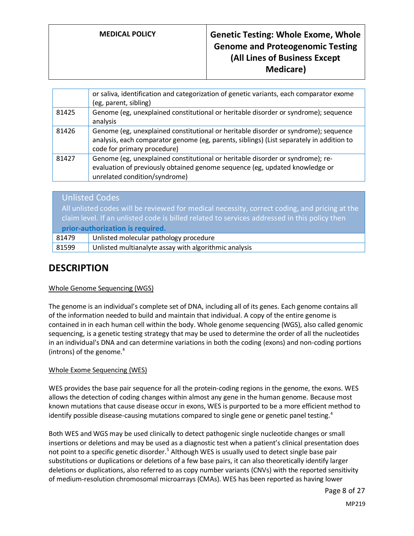| or saliva, identification and categorization of genetic variants, each comparator exome<br>(eg, parent, sibling)                                                                                               |
|----------------------------------------------------------------------------------------------------------------------------------------------------------------------------------------------------------------|
| Genome (eg, unexplained constitutional or heritable disorder or syndrome); sequence<br>analysis                                                                                                                |
| Genome (eg, unexplained constitutional or heritable disorder or syndrome); sequence<br>analysis, each comparator genome (eg, parents, siblings) (List separately in addition to<br>code for primary procedure) |
| Genome (eg, unexplained constitutional or heritable disorder or syndrome); re-<br>evaluation of previously obtained genome sequence (eg, updated knowledge or<br>unrelated condition/syndrome)                 |
|                                                                                                                                                                                                                |

|                                                                                               | <b>Unlisted Codes</b>                                 |
|-----------------------------------------------------------------------------------------------|-------------------------------------------------------|
| All unlisted codes will be reviewed for medical necessity, correct coding, and pricing at the |                                                       |
| claim level. If an unlisted code is billed related to services addressed in this policy then  |                                                       |
| prior-authorization is required.                                                              |                                                       |
| 81479                                                                                         | Unlisted molecular pathology procedure                |
| 81599                                                                                         | Unlisted multianalyte assay with algorithmic analysis |

## **DESCRIPTION**

#### Whole Genome Sequencing (WGS)

The genome is an individual's complete set of DNA, including all of its genes. Each genome contains all of the information needed to build and maintain that individual. A copy of the entire genome is contained in in each human cell within the body. Whole genome sequencing (WGS), also called genomic sequencing, is a genetic testing strategy that may be used to determine the order of all the nucleotides in an individual's DNA and can determine variations in both the coding (exons) and non-coding portions (introns) of the genome. $4$ 

#### Whole Exome Sequencing (WES)

WES provides the base pair sequence for all the protein-coding regions in the genome, the exons. WES allows the detection of coding changes within almost any gene in the human genome. Because most known mutations that cause disease occur in exons, WES is purported to be a more efficient method to identify possible disease-causing mutations compared to single gene or genetic panel testing.<sup>4</sup>

Both WES and WGS may be used clinically to detect pathogenic single nucleotide changes or small insertions or deletions and may be used as a diagnostic test when a patient's clinical presentation does not point to a specific genetic disorder.<sup>5</sup> Although WES is usually used to detect single base pair substitutions or duplications or deletions of a few base pairs, it can also theoretically identify larger deletions or duplications, also referred to as copy number variants (CNVs) with the reported sensitivity of medium-resolution chromosomal microarrays (CMAs). WES has been reported as having lower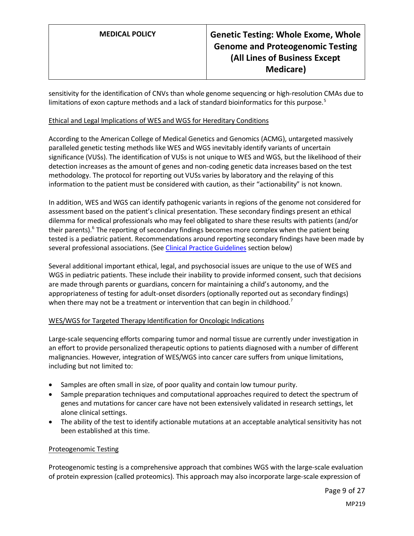sensitivity for the identification of CNVs than whole genome sequencing or high-resolution CMAs due to limitations of exon capture methods and a lack of standard bioinformatics for this purpose.<sup>5</sup>

#### Ethical and Legal Implications of WES and WGS for Hereditary Conditions

According to the American College of Medical Genetics and Genomics (ACMG), untargeted massively paralleled genetic testing methods like WES and WGS inevitably identify variants of uncertain significance (VUSs). The identification of VUSs is not unique to WES and WGS, but the likelihood of their detection increases as the amount of genes and non-coding genetic data increases based on the test methodology. The protocol for reporting out VUSs varies by laboratory and the relaying of this information to the patient must be considered with caution, as their "actionability" is not known.

In addition, WES and WGS can identify pathogenic variants in regions of the genome not considered for assessment based on the patient's clinical presentation. These secondary findings present an ethical dilemma for medical professionals who may feel obligated to share these results with patients (and/or their parents).<sup>6</sup> The reporting of secondary findings becomes more complex when the patient being tested is a pediatric patient. Recommendations around reporting secondary findings have been made by several professional associations. (See [Clinical Practice Guidelines](#page-18-0) section below)

Several additional important ethical, legal, and psychosocial issues are unique to the use of WES and WGS in pediatric patients. These include their inability to provide informed consent, such that decisions are made through parents or guardians, concern for maintaining a child's autonomy, and the appropriateness of testing for adult-onset disorders (optionally reported out as secondary findings) when there may not be a treatment or intervention that can begin in childhood.<sup>7</sup>

#### WES/WGS for Targeted Therapy Identification for Oncologic Indications

Large-scale sequencing efforts comparing tumor and normal tissue are currently under investigation in an effort to provide personalized therapeutic options to patients diagnosed with a number of different malignancies. However, integration of WES/WGS into cancer care suffers from unique limitations, including but not limited to:

- Samples are often small in size, of poor quality and contain low tumour purity.
- Sample preparation techniques and computational approaches required to detect the spectrum of genes and mutations for cancer care have not been extensively validated in research settings, let alone clinical settings.
- The ability of the test to identify actionable mutations at an acceptable analytical sensitivity has not been established at this time.

#### Proteogenomic Testing

Proteogenomic testing is a comprehensive approach that combines WGS with the large-scale evaluation of protein expression (called proteomics). This approach may also incorporate large-scale expression of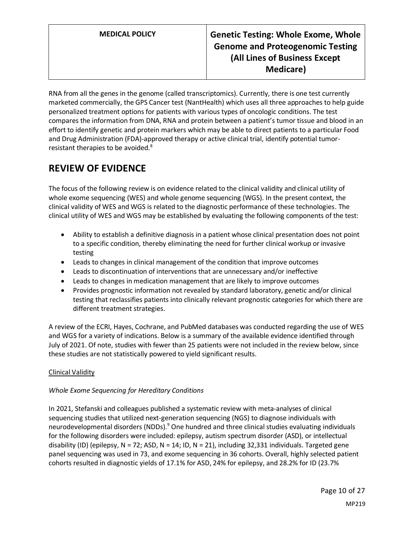RNA from all the genes in the genome (called transcriptomics). Currently, there is one test currently marketed commercially, the GPS Cancer test (NantHealth) which uses all three approaches to help guide personalized treatment options for patients with various types of oncologic conditions. The test compares the information from DNA, RNA and protein between a patient's tumor tissue and blood in an effort to identify genetic and protein markers which may be able to direct patients to a particular Food and Drug Administration (FDA)-approved therapy or active clinical trial, identify potential tumorresistant therapies to be avoided.<sup>8</sup>

## **REVIEW OF EVIDENCE**

The focus of the following review is on evidence related to the clinical validity and clinical utility of whole exome sequencing (WES) and whole genome sequencing (WGS). In the present context, the clinical validity of WES and WGS is related to the diagnostic performance of these technologies. The clinical utility of WES and WGS may be established by evaluating the following components of the test:

- Ability to establish a definitive diagnosis in a patient whose clinical presentation does not point to a specific condition, thereby eliminating the need for further clinical workup or invasive testing
- Leads to changes in clinical management of the condition that improve outcomes
- Leads to discontinuation of interventions that are unnecessary and/or ineffective
- Leads to changes in medication management that are likely to improve outcomes
- Provides prognostic information not revealed by standard laboratory, genetic and/or clinical testing that reclassifies patients into clinically relevant prognostic categories for which there are different treatment strategies.

A review of the ECRI, Hayes, Cochrane, and PubMed databases was conducted regarding the use of WES and WGS for a variety of indications. Below is a summary of the available evidence identified through July of 2021. Of note, studies with fewer than 25 patients were not included in the review below, since these studies are not statistically powered to yield significant results.

### Clinical Validity

#### *Whole Exome Sequencing for Hereditary Conditions*

In 2021, Stefanski and colleagues published a systematic review with meta-analyses of clinical sequencing studies that utilized next-generation sequencing (NGS) to diagnose individuals with neurodevelopmental disorders (NDDs).<sup>9</sup> One hundred and three clinical studies evaluating individuals for the following disorders were included: epilepsy, autism spectrum disorder (ASD), or intellectual disability (ID) (epilepsy, N = 72; ASD, N = 14; ID, N = 21), including 32,331 individuals. Targeted gene panel sequencing was used in 73, and exome sequencing in 36 cohorts. Overall, highly selected patient cohorts resulted in diagnostic yields of 17.1% for ASD, 24% for epilepsy, and 28.2% for ID (23.7%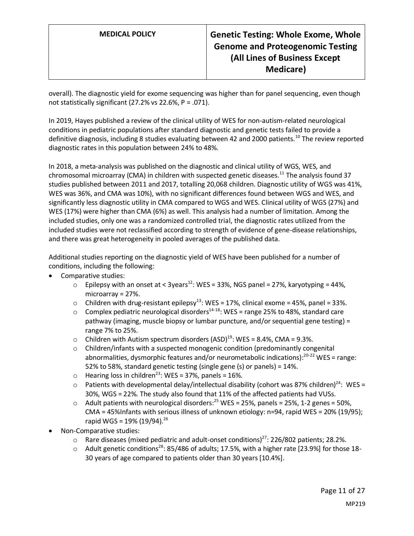overall). The diagnostic yield for exome sequencing was higher than for panel sequencing, even though not statistically significant (27.2% vs 22.6%, P = .071).

In 2019, Hayes published a review of the clinical utility of WES for non-autism-related neurological conditions in pediatric populations after standard diagnostic and genetic tests failed to provide a definitive diagnosis, including 8 studies evaluating between 42 and 2000 patients.<sup>10</sup> The review reported diagnostic rates in this population between 24% to 48%.

In 2018, a meta-analysis was published on the diagnostic and clinical utility of WGS, WES, and chromosomal microarray (CMA) in children with suspected genetic diseases.<sup>11</sup> The analysis found 37 studies published between 2011 and 2017, totalling 20,068 children. Diagnostic utility of WGS was 41%, WES was 36%, and CMA was 10%), with no significant differences found between WGS and WES, and significantly less diagnostic utility in CMA compared to WGS and WES. Clinical utility of WGS (27%) and WES (17%) were higher than CMA (6%) as well. This analysis had a number of limitation. Among the included studies, only one was a randomized controlled trial, the diagnostic rates utilized from the included studies were not reclassified according to strength of evidence of gene-disease relationships, and there was great heterogeneity in pooled averages of the published data.

Additional studies reporting on the diagnostic yield of WES have been published for a number of conditions, including the following:

- Comparative studies:
	- $\circ$  Epilepsy with an onset at < 3years<sup>12</sup>: WES = 33%, NGS panel = 27%, karyotyping = 44%, microarray = 27%.
	- $\circ$  Children with drug-resistant epilepsy<sup>13</sup>: WES = 17%, clinical exome = 45%, panel = 33%.
	- $\circ$  Complex pediatric neurological disorders<sup>14-18</sup>: WES = range 25% to 48%, standard care pathway (imaging, muscle biopsy or lumbar puncture, and/or sequential gene testing) = range 7% to 25%.
	- o Children with Autism spectrum disorders  $(ASD)^{19}$ : WES = 8.4%, CMA = 9.3%.
	- $\circ$  Children/infants with a suspected monogenic condition (predominantly congenital abnormalities, dysmorphic features and/or neurometabolic indications):<sup>20-22</sup> WES = range: 52% to 58%, standard genetic testing (single gene (s) or panels) = 14%.
	- $\circ$  Hearing loss in children<sup>23</sup>: WES = 37%, panels = 16%.
	- $\circ$  Patients with developmental delay/intellectual disability (cohort was 87% children)<sup>24</sup>: WES = 30%, WGS = 22%. The study also found that 11% of the affected patients had VUSs.
	- $\circ$  Adult patients with neurological disorders:<sup>25</sup> WES = 25%, panels = 25%, 1-2 genes = 50%, CMA = 45%Infants with serious illness of unknown etiology: n=94, rapid WES = 20% (19/95); rapid WGS =  $19\%$  (19/94).<sup>26</sup>
- Non-Comparative studies:
	- $\circ$  Rare diseases (mixed pediatric and adult-onset conditions)<sup>27</sup>: 226/802 patients; 28.2%.
	- $\circ$  Adult genetic conditions<sup>28</sup>: 85/486 of adults; 17.5%, with a higher rate [23.9%] for those 18-30 years of age compared to patients older than 30 years [10.4%].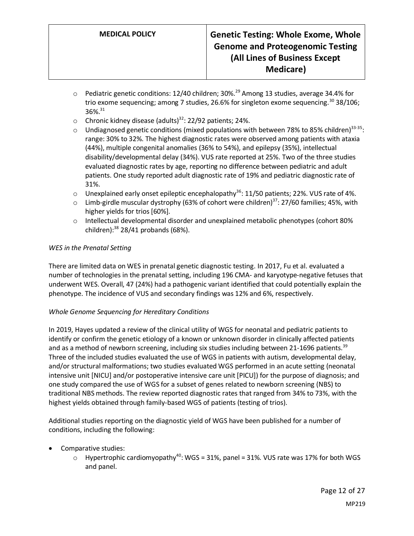- $\circ$  Pediatric genetic conditions: 12/40 children; 30%.<sup>29</sup> Among 13 studies, average 34.4% for trio exome sequencing; among 7 studies, 26.6% for singleton exome sequencing.<sup>30</sup> 38/106; 36%.<sup>31</sup>
- o Chronic kidney disease (adults)<sup>32</sup>: 22/92 patients; 24%.
- $\circ$  Undiagnosed genetic conditions (mixed populations with between 78% to 85% children)<sup>33-35</sup>: range: 30% to 32%. The highest diagnostic rates were observed among patients with ataxia (44%), multiple congenital anomalies (36% to 54%), and epilepsy (35%), intellectual disability/developmental delay (34%). VUS rate reported at 25%. Two of the three studies evaluated diagnostic rates by age, reporting no difference between pediatric and adult patients. One study reported adult diagnostic rate of 19% and pediatric diagnostic rate of 31%.
- $\circ$  Unexplained early onset epileptic encephalopathy<sup>36</sup>: 11/50 patients; 22%. VUS rate of 4%.
- $\circ$  Limb-girdle muscular dystrophy (63% of cohort were children)<sup>37</sup>: 27/60 families; 45%, with higher yields for trios [60%].
- $\circ$  Intellectual developmental disorder and unexplained metabolic phenotypes (cohort 80%) children): <sup>38</sup> 28/41 probands (68%).

#### *WES in the Prenatal Setting*

There are limited data on WES in prenatal genetic diagnostic testing. In 2017, Fu et al. evaluated a number of technologies in the prenatal setting, including 196 CMA- and karyotype-negative fetuses that underwent WES. Overall, 47 (24%) had a pathogenic variant identified that could potentially explain the phenotype. The incidence of VUS and secondary findings was 12% and 6%, respectively.

#### *Whole Genome Sequencing for Hereditary Conditions*

In 2019, Hayes updated a review of the clinical utility of WGS for neonatal and pediatric patients to identify or confirm the genetic etiology of a known or unknown disorder in clinically affected patients and as a method of newborn screening, including six studies including between 21-1696 patients.<sup>39</sup> Three of the included studies evaluated the use of WGS in patients with autism, developmental delay, and/or structural malformations; two studies evaluated WGS performed in an acute setting (neonatal intensive unit [NICU] and/or postoperative intensive care unit [PICU]) for the purpose of diagnosis; and one study compared the use of WGS for a subset of genes related to newborn screening (NBS) to traditional NBS methods. The review reported diagnostic rates that ranged from 34% to 73%, with the highest yields obtained through family-based WGS of patients (testing of trios).

Additional studies reporting on the diagnostic yield of WGS have been published for a number of conditions, including the following:

- Comparative studies:
	- $\circ$  Hypertrophic cardiomyopathy<sup>40</sup>: WGS = 31%, panel = 31%. VUS rate was 17% for both WGS and panel.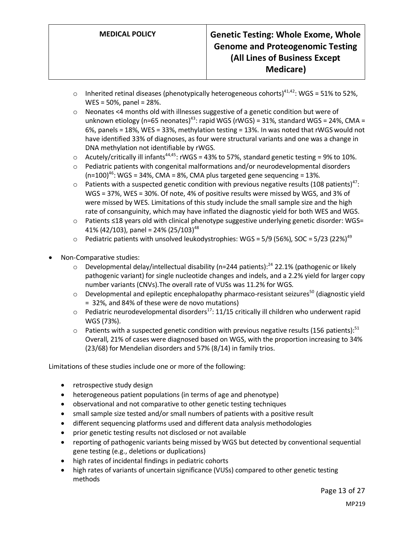- $\circ$  Inherited retinal diseases (phenotypically heterogeneous cohorts)<sup>41,42</sup>: WGS = 51% to 52%, WES = 50%, panel = 28%.
- o Neonates <4 months old with illnesses suggestive of a genetic condition but were of unknown etiology (n=65 neonates)<sup>43</sup>: rapid WGS (rWGS) = 31%, standard WGS = 24%, CMA = 6%, panels = 18%, WES = 33%, methylation testing = 13%. In was noted that rWGS would not have identified 33% of diagnoses, as four were structural variants and one was a change in DNA methylation not identifiable by rWGS.
- $\circ$  Acutely/critically ill infants<sup>44,45</sup>: rWGS = 43% to 57%, standard genetic testing = 9% to 10%.
- o Pediatric patients with congenital malformations and/or neurodevelopmental disorders  $(n=100)^{46}$ : WGS = 34%, CMA = 8%, CMA plus targeted gene sequencing = 13%.
- $\circ$  Patients with a suspected genetic condition with previous negative results (108 patients)<sup>47</sup>: WGS = 37%, WES = 30%. Of note, 4% of positive results were missed by WGS, and 3% of were missed by WES. Limitations of this study include the small sample size and the high rate of consanguinity, which may have inflated the diagnostic yield for both WES and WGS.
- o Patients ≤18 years old with clinical phenotype suggestive underlying genetic disorder: WGS= 41% (42/103), panel = 24% (25/103)<sup>48</sup>
- $\circ$  Pediatric patients with unsolved leukodystrophies: WGS = 5/9 (56%), SOC = 5/23 (22%)<sup>49</sup>
- Non-Comparative studies:
	- $\circ$  Developmental delay/intellectual disability (n=244 patients):<sup>24</sup> 22.1% (pathogenic or likely pathogenic variant) for single nucleotide changes and indels, and a 2.2% yield for larger copy number variants (CNVs).The overall rate of VUSs was 11.2% for WGS.
	- $\circ$  Developmental and epileptic encephalopathy pharmaco-resistant seizures<sup>50</sup> (diagnostic yield = 32%, and 84% of these were de novo mutations)
	- $\circ$  Pediatric neurodevelopmental disorders<sup>17</sup>: 11/15 critically ill children who underwent rapid WGS (73%).
	- $\circ$  Patients with a suspected genetic condition with previous negative results (156 patients):<sup>51</sup> Overall, 21% of cases were diagnosed based on WGS, with the proportion increasing to 34% (23/68) for Mendelian disorders and 57% (8/14) in family trios.

Limitations of these studies include one or more of the following:

- retrospective study design
- heterogeneous patient populations (in terms of age and phenotype)
- observational and not comparative to other genetic testing techniques
- small sample size tested and/or small numbers of patients with a positive result
- different sequencing platforms used and different data analysis methodologies
- prior genetic testing results not disclosed or not available
- reporting of pathogenic variants being missed by WGS but detected by conventional sequential gene testing (e.g., deletions or duplications)
- high rates of incidental findings in pediatric cohorts
- high rates of variants of uncertain significance (VUSs) compared to other genetic testing methods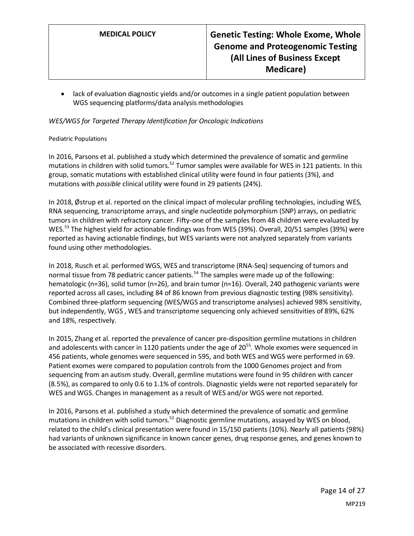• lack of evaluation diagnostic yields and/or outcomes in a single patient population between WGS sequencing platforms/data analysis methodologies

#### *WES/WGS for Targeted Therapy Identification for Oncologic Indications*

#### Pediatric Populations

In 2016, Parsons et al. published a study which determined the prevalence of somatic and germline mutations in children with solid tumors.<sup>52</sup> Tumor samples were available for WES in 121 patients. In this group, somatic mutations with established clinical utility were found in four patients (3%), and mutations with *possible* clinical utility were found in 29 patients (24%).

In 2018, Østrup et al. reported on the clinical impact of molecular profiling technologies, including WES, RNA sequencing, transcriptome arrays, and single nucleotide polymorphism (SNP) arrays, on pediatric tumors in children with refractory cancer. Fifty-one of the samples from 48 children were evaluated by WES.<sup>53</sup> The highest yield for actionable findings was from WES (39%). Overall, 20/51 samples (39%) were reported as having actionable findings, but WES variants were not analyzed separately from variants found using other methodologies.

In 2018, Rusch et al. performed WGS, WES and transcriptome (RNA-Seq) sequencing of tumors and normal tissue from 78 pediatric cancer patients.<sup>54</sup> The samples were made up of the following: hematologic (n=36), solid tumor (n=26), and brain tumor (n=16). Overall, 240 pathogenic variants were reported across all cases, including 84 of 86 known from previous diagnostic testing (98% sensitivity). Combined three-platform sequencing (WES/WGS and transcriptome analyses) achieved 98% sensitivity, but independently, WGS , WES and transcriptome sequencing only achieved sensitivities of 89%, 62% and 18%, respectively.

In 2015, Zhang et al. reported the prevalence of cancer pre-disposition germline mutations in children and adolescents with cancer in 1120 patients under the age of 20<sup>55</sup>. Whole exomes were sequenced in 456 patients, whole genomes were sequenced in 595, and both WES and WGS were performed in 69. Patient exomes were compared to population controls from the 1000 Genomes project and from sequencing from an autism study. Overall, germline mutations were found in 95 children with cancer (8.5%), as compared to only 0.6 to 1.1% of controls. Diagnostic yields were not reported separately for WES and WGS. Changes in management as a result of WES and/or WGS were not reported.

In 2016, Parsons et al. published a study which determined the prevalence of somatic and germline mutations in children with solid tumors.<sup>52</sup> Diagnostic germline mutations, assayed by WES on blood, related to the child's clinical presentation were found in 15/150 patients (10%). Nearly all patients (98%) had variants of unknown significance in known cancer genes, drug response genes, and genes known to be associated with recessive disorders.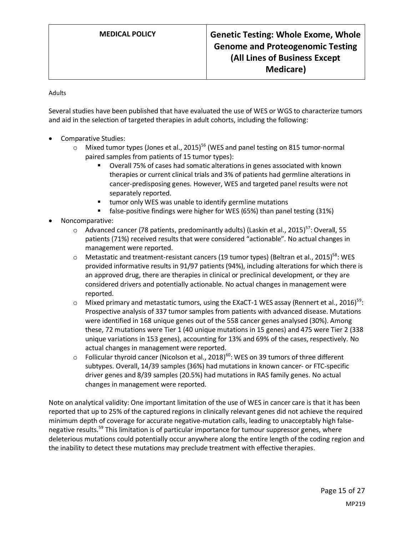Adults

Several studies have been published that have evaluated the use of WES or WGS to characterize tumors and aid in the selection of targeted therapies in adult cohorts, including the following:

- Comparative Studies:
	- $\circ$  Mixed tumor types (Jones et al., 2015)<sup>56</sup> (WES and panel testing on 815 tumor-normal paired samples from patients of 15 tumor types):
		- Overall 75% of cases had somatic alterations in genes associated with known therapies or current clinical trials and 3% of patients had germline alterations in cancer-predisposing genes. However, WES and targeted panel results were not separately reported.
		- tumor only WES was unable to identify germline mutations
		- false-positive findings were higher for WES (65%) than panel testing (31%)
- Noncomparative:
	- $\circ$  Advanced cancer (78 patients, predominantly adults) (Laskin et al., 2015)<sup>57</sup>: Overall, 55 patients (71%) received results that were considered "actionable". No actual changes in management were reported.
	- $\circ$  Metastatic and treatment-resistant cancers (19 tumor types) (Beltran et al., 2015)<sup>58</sup>: WES provided informative results in 91/97 patients (94%), including alterations for which there is an approved drug, there are therapies in clinical or preclinical development, or they are considered drivers and potentially actionable. No actual changes in management were reported.
	- $\circ$  Mixed primary and metastatic tumors, using the EXaCT-1 WES assay (Rennert et al., 2016)<sup>59</sup>: Prospective analysis of 337 tumor samples from patients with advanced disease. Mutations were identified in 168 unique genes out of the 558 cancer genes analysed (30%). Among these, 72 mutations were Tier 1 (40 unique mutations in 15 genes) and 475 were Tier 2 (338 unique variations in 153 genes), accounting for 13% and 69% of the cases, respectively. No actual changes in management were reported.
	- $\circ$  Follicular thyroid cancer (Nicolson et al., 2018)<sup>60</sup>: WES on 39 tumors of three different subtypes. Overall, 14/39 samples (36%) had mutations in known cancer- or FTC-specific driver genes and 8/39 samples (20.5%) had mutations in RAS family genes. No actual changes in management were reported.

Note on analytical validity: One important limitation of the use of WES in cancer care is that it has been reported that up to 25% of the captured regions in clinically relevant genes did not achieve the required minimum depth of coverage for accurate negative-mutation calls, leading to unacceptably high falsenegative results.<sup>59</sup> This limitation is of particular importance for tumour suppressor genes, where deleterious mutations could potentially occur anywhere along the entire length of the coding region and the inability to detect these mutations may preclude treatment with effective therapies.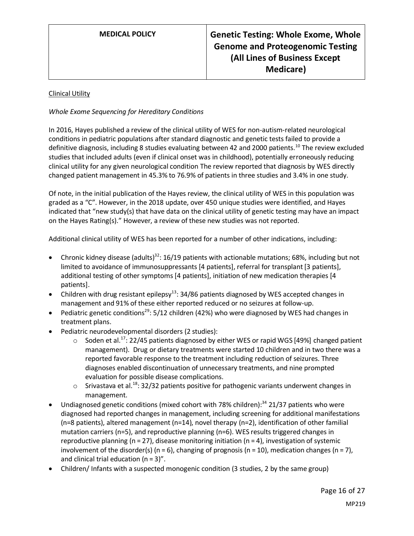#### Clinical Utility

#### *Whole Exome Sequencing for Hereditary Conditions*

In 2016, Hayes published a review of the clinical utility of WES for non-autism-related neurological conditions in pediatric populations after standard diagnostic and genetic tests failed to provide a definitive diagnosis, including 8 studies evaluating between 42 and 2000 patients.<sup>10</sup> The review excluded studies that included adults (even if clinical onset was in childhood), potentially erroneously reducing clinical utility for any given neurological condition The review reported that diagnosis by WES directly changed patient management in 45.3% to 76.9% of patients in three studies and 3.4% in one study.

Of note, in the initial publication of the Hayes review, the clinical utility of WES in this population was graded as a "C". However, in the 2018 update, over 450 unique studies were identified, and Hayes indicated that "new study(s) that have data on the clinical utility of genetic testing may have an impact on the Hayes Rating(s)." However, a review of these new studies was not reported.

Additional clinical utility of WES has been reported for a number of other indications, including:

- Chronic kidney disease (adults)<sup>32</sup>: 16/19 patients with actionable mutations; 68%, including but not limited to avoidance of immunosuppressants [4 patients], referral for transplant [3 patients], additional testing of other symptoms [4 patients], initiation of new medication therapies [4 patients].
- Children with drug resistant epilepsy<sup>13</sup>: 34/86 patients diagnosed by WES accepted changes in management and 91% of these either reported reduced or no seizures at follow-up.
- Pediatric genetic conditions<sup>29</sup>: 5/12 children (42%) who were diagnosed by WES had changes in treatment plans.
- Pediatric neurodevelopmental disorders (2 studies):
	- $\circ$  Soden et al.<sup>17</sup>: 22/45 patients diagnosed by either WES or rapid WGS [49%] changed patient management). Drug or dietary treatments were started 10 children and in two there was a reported favorable response to the treatment including reduction of seizures. Three diagnoses enabled discontinuation of unnecessary treatments, and nine prompted evaluation for possible disease complications.
	- $\circ$  Srivastava et al.<sup>18</sup>: 32/32 patients positive for pathogenic variants underwent changes in management.
- Undiagnosed genetic conditions (mixed cohort with 78% children):<sup>34</sup> 21/37 patients who were diagnosed had reported changes in management, including screening for additional manifestations (n=8 patients), altered management (n=14), novel therapy (n=2), identification of other familial mutation carriers (n=5), and reproductive planning (n=6). WES results triggered changes in reproductive planning ( $n = 27$ ), disease monitoring initiation ( $n = 4$ ), investigation of systemic involvement of the disorder(s) ( $n = 6$ ), changing of prognosis ( $n = 10$ ), medication changes ( $n = 7$ ), and clinical trial education (n = 3)".
- Children/ Infants with a suspected monogenic condition (3 studies, 2 by the same group)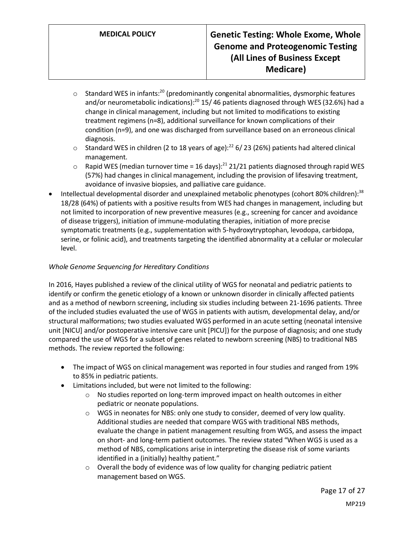- $\circ$  Standard WES in infants:<sup>20</sup> (predominantly congenital abnormalities, dysmorphic features and/or neurometabolic indications):<sup>20</sup> 15/ 46 patients diagnosed through WES (32.6%) had a change in clinical management, including but not limited to modifications to existing treatment regimens (n=8), additional surveillance for known complications of their condition (n=9), and one was discharged from surveillance based on an erroneous clinical diagnosis.
- $\circ$  Standard WES in children (2 to 18 years of age):<sup>22</sup> 6/23 (26%) patients had altered clinical management.
- $\circ$  Rapid WES (median turnover time = 16 days):<sup>21</sup> 21/21 patients diagnosed through rapid WES (57%) had changes in clinical management, including the provision of lifesaving treatment, avoidance of invasive biopsies, and palliative care guidance.
- Intellectual developmental disorder and unexplained metabolic phenotypes (cohort 80% children):<sup>38</sup> 18/28 (64%) of patients with a positive results from WES had changes in management, including but not limited to incorporation of new preventive measures (e.g., screening for cancer and avoidance of disease triggers), initiation of immune-modulating therapies, initiation of more precise symptomatic treatments (e.g., supplementation with 5-hydroxytryptophan, levodopa, carbidopa, serine, or folinic acid), and treatments targeting the identified abnormality at a cellular or molecular level.

### *Whole Genome Sequencing for Hereditary Conditions*

In 2016, Hayes published a review of the clinical utility of WGS for neonatal and pediatric patients to identify or confirm the genetic etiology of a known or unknown disorder in clinically affected patients and as a method of newborn screening, including six studies including between 21-1696 patients. Three of the included studies evaluated the use of WGS in patients with autism, developmental delay, and/or structural malformations; two studies evaluated WGS performed in an acute setting (neonatal intensive unit [NICU] and/or postoperative intensive care unit [PICU]) for the purpose of diagnosis; and one study compared the use of WGS for a subset of genes related to newborn screening (NBS) to traditional NBS methods. The review reported the following:

- The impact of WGS on clinical management was reported in four studies and ranged from 19% to 85% in pediatric patients.
- Limitations included, but were not limited to the following:
	- $\circ$  No studies reported on long-term improved impact on health outcomes in either pediatric or neonate populations.
	- o WGS in neonates for NBS: only one study to consider, deemed of very low quality. Additional studies are needed that compare WGS with traditional NBS methods, evaluate the change in patient management resulting from WGS, and assess the impact on short- and long-term patient outcomes. The review stated "When WGS is used as a method of NBS, complications arise in interpreting the disease risk of some variants identified in a (initially) healthy patient."
	- o Overall the body of evidence was of low quality for changing pediatric patient management based on WGS.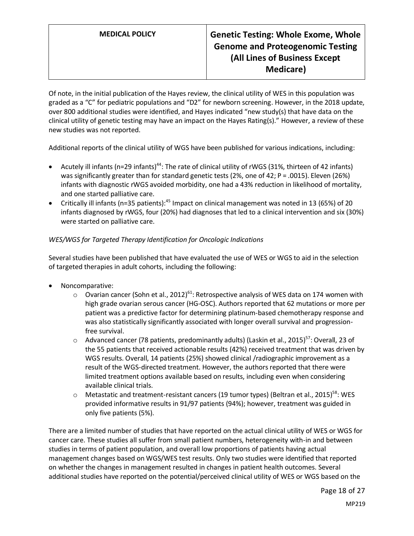Of note, in the initial publication of the Hayes review, the clinical utility of WES in this population was graded as a "C" for pediatric populations and "D2" for newborn screening. However, in the 2018 update, over 800 additional studies were identified, and Hayes indicated "new study(s) that have data on the clinical utility of genetic testing may have an impact on the Hayes Rating(s)." However, a review of these new studies was not reported.

Additional reports of the clinical utility of WGS have been published for various indications, including:

- Acutely ill infants (n=29 infants)<sup>44</sup>: The rate of clinical utility of rWGS (31%, thirteen of 42 infants) was significantly greater than for standard genetic tests (2%, one of 42; P = .0015). Eleven (26%) infants with diagnostic rWGS avoided morbidity, one had a 43% reduction in likelihood of mortality, and one started palliative care.
- Critically ill infants (n=35 patients):<sup>45</sup> Impact on clinical management was noted in 13 (65%) of 20 infants diagnosed by rWGS, four (20%) had diagnoses that led to a clinical intervention and six (30%) were started on palliative care.

#### *WES/WGS for Targeted Therapy Identification for Oncologic Indications*

Several studies have been published that have evaluated the use of WES or WGS to aid in the selection of targeted therapies in adult cohorts, including the following:

- Noncomparative:
	- $\circ$  Ovarian cancer (Sohn et al., 2012)<sup>61</sup>: Retrospective analysis of WES data on 174 women with high grade ovarian serous cancer (HG-OSC). Authors reported that 62 mutations or more per patient was a predictive factor for determining platinum-based chemotherapy response and was also statistically significantly associated with longer overall survival and progressionfree survival.
	- $\circ$  Advanced cancer (78 patients, predominantly adults) (Laskin et al., 2015)<sup>57</sup>: Overall, 23 of the 55 patients that received actionable results (42%) received treatment that was driven by WGS results. Overall, 14 patients (25%) showed clinical /radiographic improvement as a result of the WGS-directed treatment. However, the authors reported that there were limited treatment options available based on results, including even when considering available clinical trials.
	- $\circ$  Metastatic and treatment-resistant cancers (19 tumor types) (Beltran et al., 2015)<sup>58</sup>: WES provided informative results in 91/97 patients (94%); however, treatment was guided in only five patients (5%).

There are a limited number of studies that have reported on the actual clinical utility of WES or WGS for cancer care. These studies all suffer from small patient numbers, heterogeneity with-in and between studies in terms of patient population, and overall low proportions of patients having actual management changes based on WGS/WES test results. Only two studies were identified that reported on whether the changes in management resulted in changes in patient health outcomes. Several additional studies have reported on the potential/perceived clinical utility of WES or WGS based on the

Page 18 of 27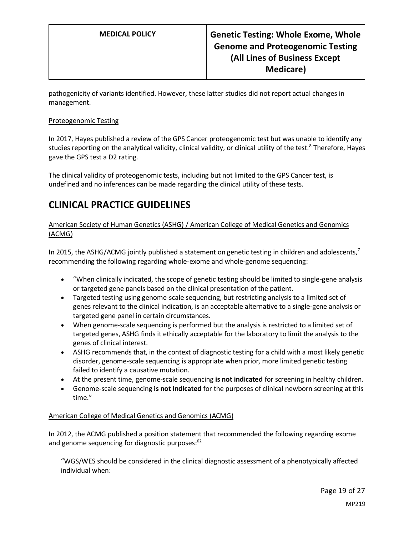pathogenicity of variants identified. However, these latter studies did not report actual changes in management.

#### Proteogenomic Testing

In 2017, Hayes published a review of the GPS Cancer proteogenomic test but was unable to identify any studies reporting on the analytical validity, clinical validity, or clinical utility of the test.<sup>8</sup> Therefore, Hayes gave the GPS test a D2 rating.

The clinical validity of proteogenomic tests, including but not limited to the GPS Cancer test, is undefined and no inferences can be made regarding the clinical utility of these tests.

## <span id="page-18-0"></span>**CLINICAL PRACTICE GUIDELINES**

American Society of Human Genetics (ASHG) / American College of Medical Genetics and Genomics (ACMG)

In 2015, the ASHG/ACMG jointly published a statement on genetic testing in children and adolescents,<sup>7</sup> recommending the following regarding whole-exome and whole-genome sequencing:

- "When clinically indicated, the scope of genetic testing should be limited to single-gene analysis or targeted gene panels based on the clinical presentation of the patient.
- Targeted testing using genome-scale sequencing, but restricting analysis to a limited set of genes relevant to the clinical indication, is an acceptable alternative to a single-gene analysis or targeted gene panel in certain circumstances.
- When genome-scale sequencing is performed but the analysis is restricted to a limited set of targeted genes, ASHG finds it ethically acceptable for the laboratory to limit the analysis to the genes of clinical interest.
- ASHG recommends that, in the context of diagnostic testing for a child with a most likely genetic disorder, genome-scale sequencing is appropriate when prior, more limited genetic testing failed to identify a causative mutation.
- At the present time, genome-scale sequencing **is not indicated** for screening in healthy children.
- Genome-scale sequencing **is not indicated** for the purposes of clinical newborn screening at this time."

#### American College of Medical Genetics and Genomics (ACMG)

In 2012, the ACMG published a position statement that recommended the following regarding exome and genome sequencing for diagnostic purposes:<sup>62</sup>

"WGS/WES should be considered in the clinical diagnostic assessment of a phenotypically affected individual when: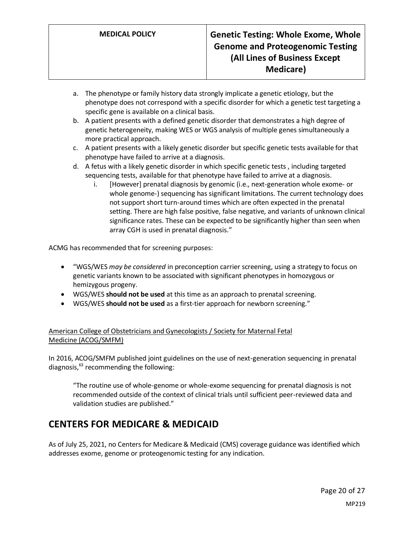- a. The phenotype or family history data strongly implicate a genetic etiology, but the phenotype does not correspond with a specific disorder for which a genetic test targeting a specific gene is available on a clinical basis.
- b. A patient presents with a defined genetic disorder that demonstrates a high degree of genetic heterogeneity, making WES or WGS analysis of multiple genes simultaneously a more practical approach.
- c. A patient presents with a likely genetic disorder but specific genetic tests available for that phenotype have failed to arrive at a diagnosis.
- d. A fetus with a likely genetic disorder in which specific genetic tests , including targeted sequencing tests, available for that phenotype have failed to arrive at a diagnosis.
	- i. [However] prenatal diagnosis by genomic (i.e., next-generation whole exome- or whole genome-) sequencing has significant limitations. The current technology does not support short turn-around times which are often expected in the prenatal setting. There are high false positive, false negative, and variants of unknown clinical significance rates. These can be expected to be significantly higher than seen when array CGH is used in prenatal diagnosis."

ACMG has recommended that for screening purposes:

- "WGS/WES *may be considered* in preconception carrier screening, using a strategy to focus on genetic variants known to be associated with significant phenotypes in homozygous or hemizygous progeny.
- WGS/WES **should not be used** at this time as an approach to prenatal screening.
- WGS/WES **should not be used** as a first-tier approach for newborn screening."

### American College of Obstetricians and Gynecologists / Society for Maternal Fetal Medicine (ACOG/SMFM)

In 2016, ACOG/SMFM published joint guidelines on the use of next-generation sequencing in prenatal diagnosis, $^{63}$  recommending the following:

"The routine use of whole-genome or whole-exome sequencing for prenatal diagnosis is not recommended outside of the context of clinical trials until sufficient peer-reviewed data and validation studies are published."

## <span id="page-19-0"></span>**CENTERS FOR MEDICARE & MEDICAID**

As of July 25, 2021, no Centers for Medicare & Medicaid (CMS) coverage guidance was identified which addresses exome, genome or proteogenomic testing for any indication.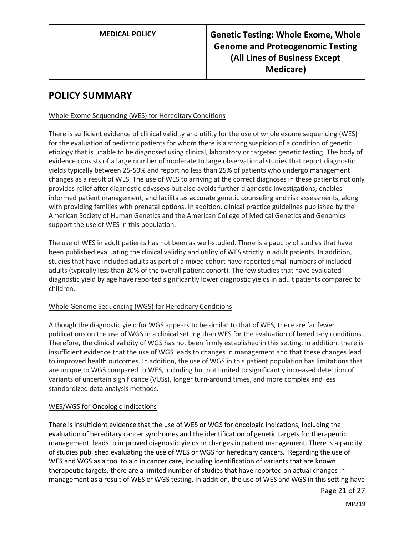## **POLICY SUMMARY**

#### Whole Exome Sequencing (WES) for Hereditary Conditions

There is sufficient evidence of clinical validity and utility for the use of whole exome sequencing (WES) for the evaluation of pediatric patients for whom there is a strong suspicion of a condition of genetic etiology that is unable to be diagnosed using clinical, laboratory or targeted genetic testing. The body of evidence consists of a large number of moderate to large observational studies that report diagnostic yields typically between 25-50% and report no less than 25% of patients who undergo management changes as a result of WES. The use of WES to arriving at the correct diagnoses in these patients not only provides relief after diagnostic odysseys but also avoids further diagnostic investigations, enables informed patient management, and facilitates accurate genetic counseling and risk assessments, along with providing families with prenatal options. In addition, clinical practice guidelines published by the American Society of Human Genetics and the American College of Medical Genetics and Genomics support the use of WES in this population.

The use of WES in adult patients has not been as well-studied. There is a paucity of studies that have been published evaluating the clinical validity and utility of WES strictly in adult patients. In addition, studies that have included adults as part of a mixed cohort have reported small numbers of included adults (typically less than 20% of the overall patient cohort). The few studies that have evaluated diagnostic yield by age have reported significantly lower diagnostic yields in adult patients compared to children.

#### Whole Genome Sequencing (WGS) for Hereditary Conditions

Although the diagnostic yield for WGS appears to be similar to that of WES, there are far fewer publications on the use of WGS in a clinical setting than WES for the evaluation of hereditary conditions. Therefore, the clinical validity of WGS has not been firmly established in this setting. In addition, there is insufficient evidence that the use of WGS leads to changes in management and that these changes lead to improved health outcomes. In addition, the use of WGS in this patient population has limitations that are unique to WGS compared to WES, including but not limited to significantly increased detection of variants of uncertain significance (VUSs), longer turn-around times, and more complex and less standardized data analysis methods.

#### WES/WGS for Oncologic Indications

There is insufficient evidence that the use of WES or WGS for oncologic indications, including the evaluation of hereditary cancer syndromes and the identification of genetic targets for therapeutic management, leads to improved diagnostic yields or changes in patient management. There is a paucity of studies published evaluating the use of WES or WGS for hereditary cancers. Regarding the use of WES and WGS as a tool to aid in cancer care, including identification of variants that are known therapeutic targets, there are a limited number of studies that have reported on actual changes in management as a result of WES or WGS testing. In addition, the use of WES and WGS in this setting have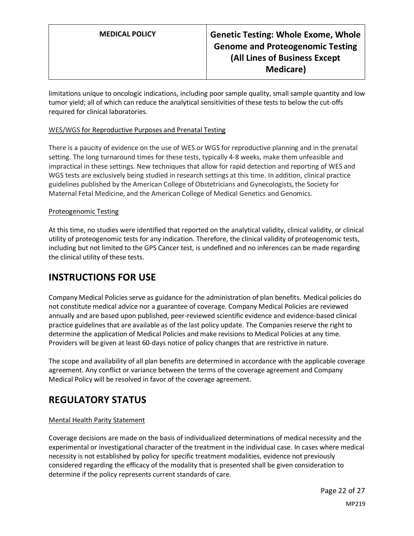limitations unique to oncologic indications, including poor sample quality, small sample quantity and low tumor yield; all of which can reduce the analytical sensitivities of these tests to below the cut-offs required for clinical laboratories.

#### WES/WGS for Reproductive Purposes and Prenatal Testing

There is a paucity of evidence on the use of WES or WGS for reproductive planning and in the prenatal setting. The long turnaround times for these tests, typically 4-8 weeks, make them unfeasible and impractical in these settings. New techniques that allow for rapid detection and reporting of WES and WGS tests are exclusively being studied in research settings at this time. In addition, clinical practice guidelines published by the American College of Obstetricians and Gynecologists, the Society for Maternal Fetal Medicine, and the American College of Medical Genetics and Genomics.

#### Proteogenomic Testing

At this time, no studies were identified that reported on the analytical validity, clinical validity, or clinical utility of proteogenomic tests for any indication. Therefore, the clinical validity of proteogenomic tests, including but not limited to the GPS Cancer test, is undefined and no inferences can be made regarding the clinical utility of these tests.

## **INSTRUCTIONS FOR USE**

Company Medical Policies serve as guidance for the administration of plan benefits. Medical policies do not constitute medical advice nor a guarantee of coverage. Company Medical Policies are reviewed annually and are based upon published, peer-reviewed scientific evidence and evidence-based clinical practice guidelines that are available as of the last policy update. The Companies reserve the right to determine the application of Medical Policies and make revisions to Medical Policies at any time. Providers will be given at least 60-days notice of policy changes that are restrictive in nature.

The scope and availability of all plan benefits are determined in accordance with the applicable coverage agreement. Any conflict or variance between the terms of the coverage agreement and Company Medical Policy will be resolved in favor of the coverage agreement.

## **REGULATORY STATUS**

#### Mental Health Parity Statement

Coverage decisions are made on the basis of individualized determinations of medical necessity and the experimental or investigational character of the treatment in the individual case. In cases where medical necessity is not established by policy for specific treatment modalities, evidence not previously considered regarding the efficacy of the modality that is presented shall be given consideration to determine if the policy represents current standards of care.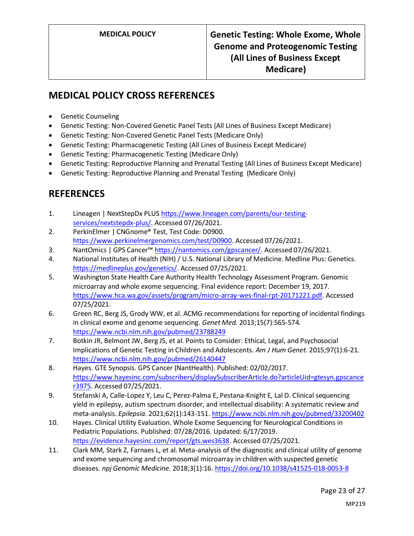# **MEDICAL POLICY CROSS REFERENCES**

- Genetic Counseling
- Genetic Testing: Non-Covered Genetic Panel Tests (All Lines of Business Except Medicare)
- Genetic Testing: Non-Covered Genetic Panel Tests (Medicare Only)
- Genetic Testing: Pharmacogenetic Testing (All Lines of Business Except Medicare)
- Genetic Testing: Pharmacogenetic Testing (Medicare Only)
- Genetic Testing: Reproductive Planning and Prenatal Testing (All Lines of Business Except Medicare)
- Genetic Testing: Reproductive Planning and Prenatal Testing (Medicare Only)

## **REFERENCES**

- 1. Lineagen | NextStepDx PLUS [https://www.lineagen.com/parents/our-testing](https://www.lineagen.com/parents/our-testing-services/nextstepdx-plus/)[services/nextstepdx-plus/.](https://www.lineagen.com/parents/our-testing-services/nextstepdx-plus/) Accessed 07/26/2021.
- 2. PerkinElmer | CNGnome® Test, Test Code: D0900. [https://www.perkinelmergenomics.com/test/D0900.](https://www.perkinelmergenomics.com/test/D0900) Accessed 07/26/2021.
- 3. NantOmics | GPS Cancer™ [https://nantomics.com/gpscancer/.](https://nantomics.com/gpscancer/) Accessed 07/26/2021.
- 4. National Institutes of Health (NIH) / U.S. National Library of Medicine. Medline Plus: Genetics. [https://medlineplus.gov/genetics/.](https://medlineplus.gov/genetics/) Accessed 07/25/2021.
- 5. Washington State Health Care Authority Health Technology Assessment Program. Genomic microarray and whole exome sequencing. Final evidence report: December 19, 2017. [https://www.hca.wa.gov/assets/program/micro-array-wes-final-rpt-20171221.pdf.](https://www.hca.wa.gov/assets/program/micro-array-wes-final-rpt-20171221.pdf) Accessed 07/25/2021.
- 6. Green RC, Berg JS, Grody WW, et al. ACMG recommendations for reporting of incidental findings in clinical exome and genome sequencing. *Genet Med.* 2013;15(7):565-574. <https://www.ncbi.nlm.nih.gov/pubmed/23788249>
- 7. Botkin JR, Belmont JW, Berg JS, et al. Points to Consider: Ethical, Legal, and Psychosocial Implications of Genetic Testing in Children and Adolescents. *Am J Hum Genet.* 2015;97(1):6-21. <https://www.ncbi.nlm.nih.gov/pubmed/26140447>
- 8. Hayes. GTE Synopsis. GPS Cancer (NantHealth). Published: 02/02/2017. [https://www.hayesinc.com/subscribers/displaySubscriberArticle.do?articleUid=gtesyn.gpscance](https://www.hayesinc.com/subscribers/displaySubscriberArticle.do?articleUid=gtesyn.gpscancer3975) [r3975.](https://www.hayesinc.com/subscribers/displaySubscriberArticle.do?articleUid=gtesyn.gpscancer3975) Accessed 07/25/2021.
- 9. Stefanski A, Calle-Lopez Y, Leu C, Perez-Palma E, Pestana-Knight E, Lal D. Clinical sequencing yield in epilepsy, autism spectrum disorder, and intellectual disability: A systematic review and meta-analysis. *Epilepsia.* 2021;62(1):143-151[. https://www.ncbi.nlm.nih.gov/pubmed/33200402](https://www.ncbi.nlm.nih.gov/pubmed/33200402)
- 10. Hayes. Clinical Utility Evaluation. Whole Exome Sequencing for Neurological Conditions in Pediatric Populations. Published: 07/28/2016. Updated: 6/17/2019. [https://evidence.hayesinc.com/report/gts.wes3638.](https://evidence.hayesinc.com/report/gts.wes3638) Accessed 07/25/2021.
- 11. Clark MM, Stark Z, Farnaes L, et al. Meta-analysis of the diagnostic and clinical utility of genome and exome sequencing and chromosomal microarray in children with suspected genetic diseases. *npj Genomic Medicine.* 2018;3(1):16[. https://doi.org/10.1038/s41525-018-0053-8](https://doi.org/10.1038/s41525-018-0053-8)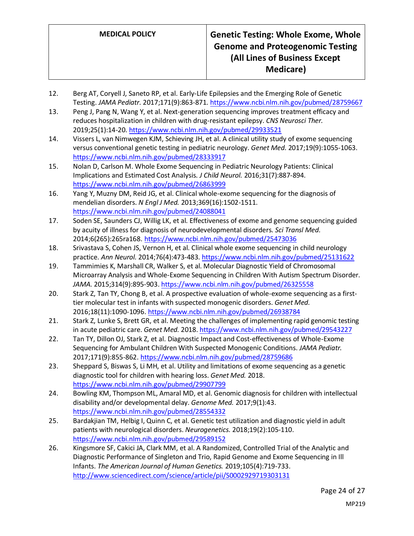- 12. Berg AT, Coryell J, Saneto RP, et al. Early-Life Epilepsies and the Emerging Role of Genetic Testing. *JAMA Pediatr.* 2017;171(9):863-871[. https://www.ncbi.nlm.nih.gov/pubmed/28759667](https://www.ncbi.nlm.nih.gov/pubmed/28759667)
- 13. Peng J, Pang N, Wang Y, et al. Next-generation sequencing improves treatment efficacy and reduces hospitalization in children with drug-resistant epilepsy. *CNS Neurosci Ther.*  2019;25(1):14-20[. https://www.ncbi.nlm.nih.gov/pubmed/29933521](https://www.ncbi.nlm.nih.gov/pubmed/29933521)
- 14. Vissers L, van Nimwegen KJM, Schieving JH, et al. A clinical utility study of exome sequencing versus conventional genetic testing in pediatric neurology. *Genet Med.* 2017;19(9):1055-1063. <https://www.ncbi.nlm.nih.gov/pubmed/28333917>
- 15. Nolan D, Carlson M. Whole Exome Sequencing in Pediatric Neurology Patients: Clinical Implications and Estimated Cost Analysis. *J Child Neurol.* 2016;31(7):887-894. <https://www.ncbi.nlm.nih.gov/pubmed/26863999>
- 16. Yang Y, Muzny DM, Reid JG, et al. Clinical whole-exome sequencing for the diagnosis of mendelian disorders. *N Engl J Med.* 2013;369(16):1502-1511. <https://www.ncbi.nlm.nih.gov/pubmed/24088041>
- 17. Soden SE, Saunders CJ, Willig LK, et al. Effectiveness of exome and genome sequencing guided by acuity of illness for diagnosis of neurodevelopmental disorders. *Sci Transl Med.*  2014;6(265):265ra168.<https://www.ncbi.nlm.nih.gov/pubmed/25473036>
- 18. Srivastava S, Cohen JS, Vernon H, et al. Clinical whole exome sequencing in child neurology practice. *Ann Neurol.* 2014;76(4):473-483[. https://www.ncbi.nlm.nih.gov/pubmed/25131622](https://www.ncbi.nlm.nih.gov/pubmed/25131622)
- 19. Tammimies K, Marshall CR, Walker S, et al. Molecular Diagnostic Yield of Chromosomal Microarray Analysis and Whole-Exome Sequencing in Children With Autism Spectrum Disorder. *JAMA.* 2015;314(9):895-903[. https://www.ncbi.nlm.nih.gov/pubmed/26325558](https://www.ncbi.nlm.nih.gov/pubmed/26325558)
- 20. Stark Z, Tan TY, Chong B, et al. A prospective evaluation of whole-exome sequencing as a firsttier molecular test in infants with suspected monogenic disorders. *Genet Med.*  2016;18(11):1090-1096[. https://www.ncbi.nlm.nih.gov/pubmed/26938784](https://www.ncbi.nlm.nih.gov/pubmed/26938784)
- 21. Stark Z, Lunke S, Brett GR, et al. Meeting the challenges of implementing rapid genomic testing in acute pediatric care. *Genet Med.* 2018[. https://www.ncbi.nlm.nih.gov/pubmed/29543227](https://www.ncbi.nlm.nih.gov/pubmed/29543227)
- 22. Tan TY, Dillon OJ, Stark Z, et al. Diagnostic Impact and Cost-effectiveness of Whole-Exome Sequencing for Ambulant Children With Suspected Monogenic Conditions. *JAMA Pediatr.*  2017;171(9):855-862[. https://www.ncbi.nlm.nih.gov/pubmed/28759686](https://www.ncbi.nlm.nih.gov/pubmed/28759686)
- 23. Sheppard S, Biswas S, Li MH, et al. Utility and limitations of exome sequencing as a genetic diagnostic tool for children with hearing loss. *Genet Med.* 2018. <https://www.ncbi.nlm.nih.gov/pubmed/29907799>
- 24. Bowling KM, Thompson ML, Amaral MD, et al. Genomic diagnosis for children with intellectual disability and/or developmental delay. *Genome Med.* 2017;9(1):43. <https://www.ncbi.nlm.nih.gov/pubmed/28554332>
- 25. Bardakjian TM, Helbig I, Quinn C, et al. Genetic test utilization and diagnostic yield in adult patients with neurological disorders. *Neurogenetics.* 2018;19(2):105-110. <https://www.ncbi.nlm.nih.gov/pubmed/29589152>
- 26. Kingsmore SF, Cakici JA, Clark MM, et al. A Randomized, Controlled Trial of the Analytic and Diagnostic Performance of Singleton and Trio, Rapid Genome and Exome Sequencing in Ill Infants. *The American Journal of Human Genetics.* 2019;105(4):719-733. <http://www.sciencedirect.com/science/article/pii/S0002929719303131>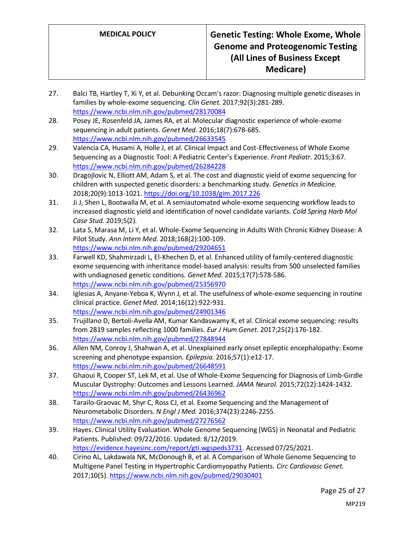- 27. Balci TB, Hartley T, Xi Y, et al. Debunking Occam's razor: Diagnosing multiple genetic diseases in families by whole-exome sequencing. *Clin Genet.* 2017;92(3):281-289. <https://www.ncbi.nlm.nih.gov/pubmed/28170084>
- 28. Posey JE, Rosenfeld JA, James RA, et al. Molecular diagnostic experience of whole-exome sequencing in adult patients. *Genet Med.* 2016;18(7):678-685. <https://www.ncbi.nlm.nih.gov/pubmed/26633545>
- 29. Valencia CA, Husami A, Holle J, et al. Clinical Impact and Cost-Effectiveness of Whole Exome Sequencing as a Diagnostic Tool: A Pediatric Center's Experience. *Front Pediatr.* 2015;3:67. <https://www.ncbi.nlm.nih.gov/pubmed/26284228>
- 30. Dragojlovic N, Elliott AM, Adam S, et al. The cost and diagnostic yield of exome sequencing for children with suspected genetic disorders: a benchmarking study. *Genetics in Medicine.*  2018;20(9):1013-1021.<https://doi.org/10.1038/gim.2017.226>
- 31. Ji J, Shen L, Bootwalla M, et al. A semiautomated whole-exome sequencing workflow leads to increased diagnostic yield and identification of novel candidate variants. *Cold Spring Harb Mol Case Stud.* 2019;5(2).
- 32. Lata S, Marasa M, Li Y, et al. Whole-Exome Sequencing in Adults With Chronic Kidney Disease: A Pilot Study. *Ann Intern Med.* 2018;168(2):100-109. <https://www.ncbi.nlm.nih.gov/pubmed/29204651>
- 33. Farwell KD, Shahmirzadi L, El-Khechen D, et al. Enhanced utility of family-centered diagnostic exome sequencing with inheritance model-based analysis: results from 500 unselected families with undiagnosed genetic conditions. *Genet Med.* 2015;17(7):578-586. <https://www.ncbi.nlm.nih.gov/pubmed/25356970>
- 34. Iglesias A, Anyane-Yeboa K, Wynn J, et al. The usefulness of whole-exome sequencing in routine clinical practice. *Genet Med.* 2014;16(12):922-931. <https://www.ncbi.nlm.nih.gov/pubmed/24901346>
- 35. Trujillano D, Bertoli-Avella AM, Kumar Kandaswamy K, et al. Clinical exome sequencing: results from 2819 samples reflecting 1000 families. *Eur J Hum Genet.* 2017;25(2):176-182. <https://www.ncbi.nlm.nih.gov/pubmed/27848944>
- 36. Allen NM, Conroy J, Shahwan A, et al. Unexplained early onset epileptic encephalopathy: Exome screening and phenotype expansion. *Epilepsia.* 2016;57(1):e12-17. <https://www.ncbi.nlm.nih.gov/pubmed/26648591>
- 37. Ghaoui R, Cooper ST, Lek M, et al. Use of Whole-Exome Sequencing for Diagnosis of Limb-Girdle Muscular Dystrophy: Outcomes and Lessons Learned. *JAMA Neurol.* 2015;72(12):1424-1432. <https://www.ncbi.nlm.nih.gov/pubmed/26436962>
- 38. Tarailo-Graovac M, Shyr C, Ross CJ, et al. Exome Sequencing and the Management of Neurometabolic Disorders. *N Engl J Med.* 2016;374(23):2246-2255. <https://www.ncbi.nlm.nih.gov/pubmed/27276562>
- 39. Hayes. Clinical Utility Evaluation. Whole Genome Sequencing (WGS) in Neonatal and Pediatric Patients. Published: 09/22/2016. Updated: 8/12/2019. [https://evidence.hayesinc.com/report/gti.wgspeds3731.](https://evidence.hayesinc.com/report/gti.wgspeds3731) Accessed 07/25/2021.
- 40. Cirino AL, Lakdawala NK, McDonough B, et al. A Comparison of Whole Genome Sequencing to Multigene Panel Testing in Hypertrophic Cardiomyopathy Patients. *Circ Cardiovasc Genet.*  2017;10(5).<https://www.ncbi.nlm.nih.gov/pubmed/29030401>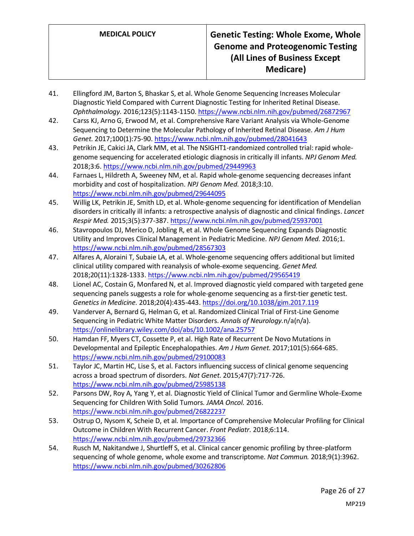- 41. Ellingford JM, Barton S, Bhaskar S, et al. Whole Genome Sequencing Increases Molecular Diagnostic Yield Compared with Current Diagnostic Testing for Inherited Retinal Disease. *Ophthalmology.* 2016;123(5):1143-1150.<https://www.ncbi.nlm.nih.gov/pubmed/26872967>
- 42. Carss KJ, Arno G, Erwood M, et al. Comprehensive Rare Variant Analysis via Whole-Genome Sequencing to Determine the Molecular Pathology of Inherited Retinal Disease. *Am J Hum Genet.* 2017;100(1):75-90[. https://www.ncbi.nlm.nih.gov/pubmed/28041643](https://www.ncbi.nlm.nih.gov/pubmed/28041643)
- 43. Petrikin JE, Cakici JA, Clark MM, et al. The NSIGHT1-randomized controlled trial: rapid wholegenome sequencing for accelerated etiologic diagnosis in critically ill infants. *NPJ Genom Med.*  2018;3:6[. https://www.ncbi.nlm.nih.gov/pubmed/29449963](https://www.ncbi.nlm.nih.gov/pubmed/29449963)
- 44. Farnaes L, Hildreth A, Sweeney NM, et al. Rapid whole-genome sequencing decreases infant morbidity and cost of hospitalization. *NPJ Genom Med.* 2018;3:10. <https://www.ncbi.nlm.nih.gov/pubmed/29644095>
- 45. Willig LK, Petrikin JE, Smith LD, et al. Whole-genome sequencing for identification of Mendelian disorders in critically ill infants: a retrospective analysis of diagnostic and clinical findings. *Lancet Respir Med.* 2015;3(5):377-387[. https://www.ncbi.nlm.nih.gov/pubmed/25937001](https://www.ncbi.nlm.nih.gov/pubmed/25937001)
- 46. Stavropoulos DJ, Merico D, Jobling R, et al. Whole Genome Sequencing Expands Diagnostic Utility and Improves Clinical Management in Pediatric Medicine. *NPJ Genom Med.* 2016;1. <https://www.ncbi.nlm.nih.gov/pubmed/28567303>
- 47. Alfares A, Aloraini T, Subaie LA, et al. Whole-genome sequencing offers additional but limited clinical utility compared with reanalysis of whole-exome sequencing. *Genet Med.*  2018;20(11):1328-1333[. https://www.ncbi.nlm.nih.gov/pubmed/29565419](https://www.ncbi.nlm.nih.gov/pubmed/29565419)
- 48. Lionel AC, Costain G, Monfared N, et al. Improved diagnostic yield compared with targeted gene sequencing panels suggests a role for whole-genome sequencing as a first-tier genetic test. *Genetics in Medicine.* 2018;20(4):435-443[. https://doi.org/10.1038/gim.2017.119](https://doi.org/10.1038/gim.2017.119)
- 49. Vanderver A, Bernard G, Helman G, et al. Randomized Clinical Trial of First-Line Genome Sequencing in Pediatric White Matter Disorders. *Annals of Neurology.*n/a(n/a). <https://onlinelibrary.wiley.com/doi/abs/10.1002/ana.25757>
- 50. Hamdan FF, Myers CT, Cossette P, et al. High Rate of Recurrent De Novo Mutations in Developmental and Epileptic Encephalopathies. *Am J Hum Genet.* 2017;101(5):664-685. <https://www.ncbi.nlm.nih.gov/pubmed/29100083>
- 51. Taylor JC, Martin HC, Lise S, et al. Factors influencing success of clinical genome sequencing across a broad spectrum of disorders. *Nat Genet.* 2015;47(7):717-726. <https://www.ncbi.nlm.nih.gov/pubmed/25985138>
- 52. Parsons DW, Roy A, Yang Y, et al. Diagnostic Yield of Clinical Tumor and Germline Whole-Exome Sequencing for Children With Solid Tumors. *JAMA Oncol.* 2016. <https://www.ncbi.nlm.nih.gov/pubmed/26822237>
- 53. Ostrup O, Nysom K, Scheie D, et al. Importance of Comprehensive Molecular Profiling for Clinical Outcome in Children With Recurrent Cancer. *Front Pediatr.* 2018;6:114. <https://www.ncbi.nlm.nih.gov/pubmed/29732366>
- 54. Rusch M, Nakitandwe J, Shurtleff S, et al. Clinical cancer genomic profiling by three-platform sequencing of whole genome, whole exome and transcriptome. *Nat Commun.* 2018;9(1):3962. <https://www.ncbi.nlm.nih.gov/pubmed/30262806>